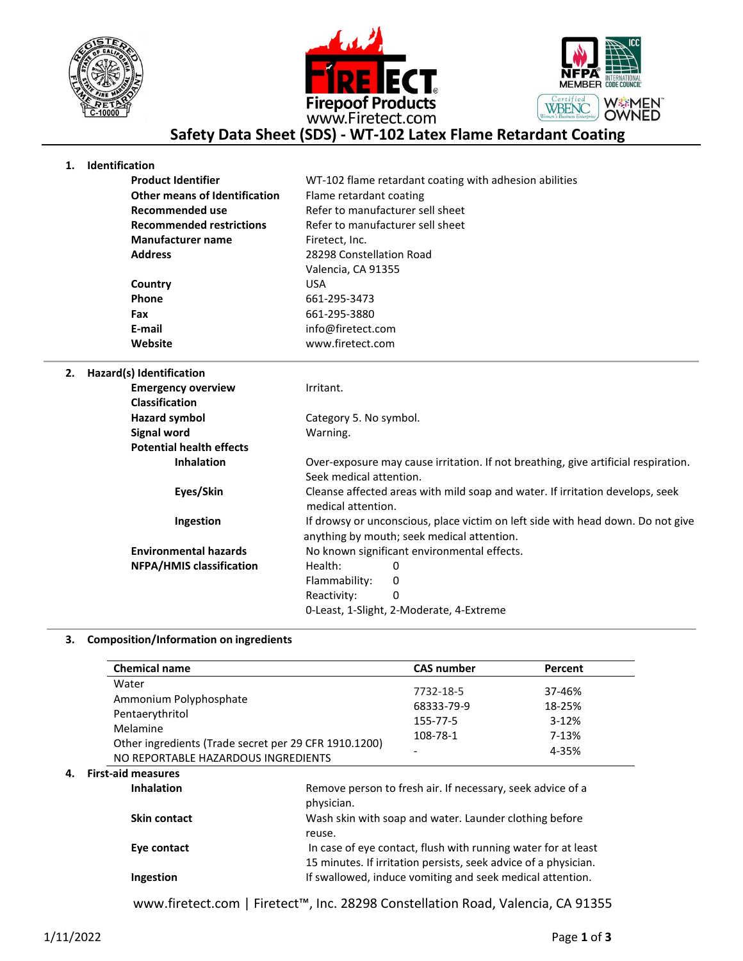





## **Safety Data Sheet (SDS) - WT-102 Latex Flame Retardant Coating**

## **1. Identification**

| <b>Product Identifier</b>            | WT-102 flame retardant coating with adhesion abilities |
|--------------------------------------|--------------------------------------------------------|
| <b>Other means of Identification</b> | Flame retardant coating                                |
| Recommended use                      | Refer to manufacturer sell sheet                       |
| <b>Recommended restrictions</b>      | Refer to manufacturer sell sheet                       |
| <b>Manufacturer name</b>             | Firetect, Inc.                                         |
| <b>Address</b>                       | 28298 Constellation Road                               |
|                                      | Valencia, CA 91355                                     |
| Country                              | <b>USA</b>                                             |
| Phone                                | 661-295-3473                                           |
| Fax                                  | 661-295-3880                                           |
| E-mail                               | info@firetect.com                                      |
| Website                              | www.firetect.com                                       |
|                                      |                                                        |

**2. Hazard(s) Identification**

| <b>Emergency overview</b>       | Irritant.                                                                                                                     |  |
|---------------------------------|-------------------------------------------------------------------------------------------------------------------------------|--|
| <b>Classification</b>           |                                                                                                                               |  |
| <b>Hazard symbol</b>            | Category 5. No symbol.                                                                                                        |  |
| Signal word                     | Warning.                                                                                                                      |  |
| <b>Potential health effects</b> |                                                                                                                               |  |
| <b>Inhalation</b>               | Over-exposure may cause irritation. If not breathing, give artificial respiration.                                            |  |
|                                 | Seek medical attention.                                                                                                       |  |
| Eyes/Skin                       | Cleanse affected areas with mild soap and water. If irritation develops, seek<br>medical attention.                           |  |
| Ingestion                       | If drowsy or unconscious, place victim on left side with head down. Do not give<br>anything by mouth; seek medical attention. |  |
| <b>Environmental hazards</b>    | No known significant environmental effects.                                                                                   |  |
| <b>NFPA/HMIS classification</b> | Health:<br>0                                                                                                                  |  |
|                                 | Flammability:<br>0                                                                                                            |  |
|                                 | 0<br>Reactivity:                                                                                                              |  |
|                                 | 0-Least, 1-Slight, 2-Moderate, 4-Extreme                                                                                      |  |

## **3. Composition/Information on ingredients**

| <b>Chemical name</b>                                  | <b>CAS number</b> | Percent |
|-------------------------------------------------------|-------------------|---------|
| Water                                                 |                   | 37-46%  |
| Ammonium Polyphosphate                                | 7732-18-5         |         |
| Pentaerythritol                                       | 68333-79-9        | 18-25%  |
|                                                       | 155-77-5          | $3-12%$ |
| Melamine                                              | 108-78-1          | 7-13%   |
| Other ingredients (Trade secret per 29 CFR 1910.1200) |                   |         |
| NO REPORTABLE HAZARDOUS INGREDIENTS                   |                   | 4-35%   |

| <b>Inhalation</b>   | Remove person to fresh air. If necessary, seek advice of a<br>physician.                                                         |
|---------------------|----------------------------------------------------------------------------------------------------------------------------------|
| <b>Skin contact</b> | Wash skin with soap and water. Launder clothing before<br>reuse.                                                                 |
| Eye contact         | In case of eye contact, flush with running water for at least<br>15 minutes. If irritation persists, seek advice of a physician. |
| <b>Ingestion</b>    | If swallowed, induce vomiting and seek medical attention.                                                                        |

www.firetect.com | Firetect™, Inc. 28298 Constellation Road, Valencia, CA 91355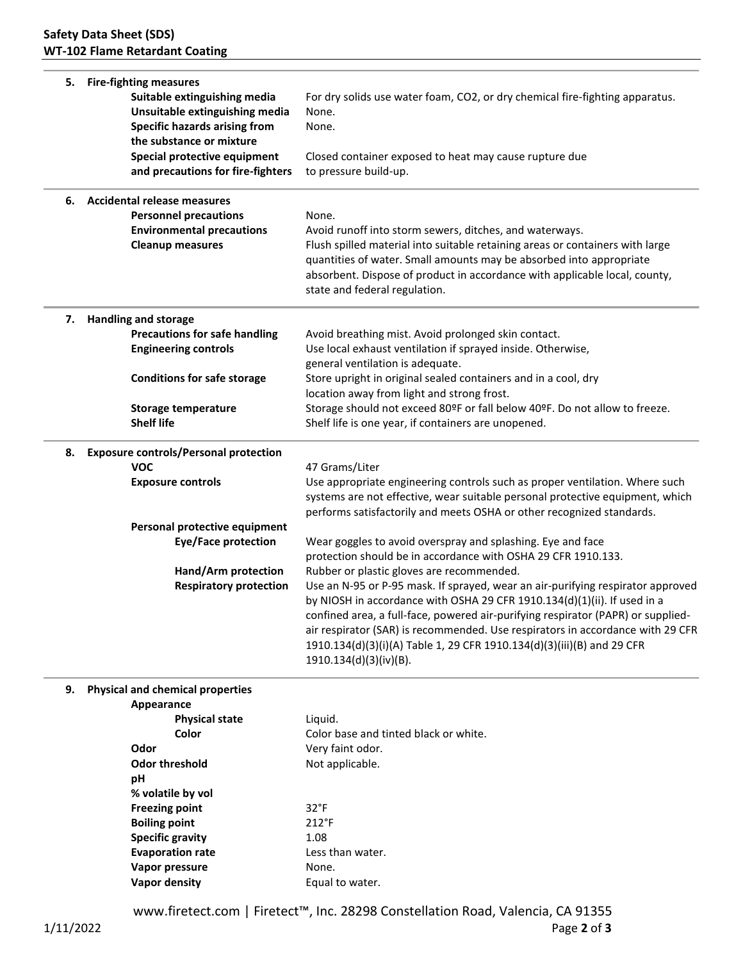| 5. | <b>Fire-fighting measures</b><br>Suitable extinguishing media<br>Unsuitable extinguishing media<br><b>Specific hazards arising from</b><br>the substance or mixture<br>Special protective equipment<br>and precautions for fire-fighters                                                             | For dry solids use water foam, CO2, or dry chemical fire-fighting apparatus.<br>None.<br>None.<br>Closed container exposed to heat may cause rupture due<br>to pressure build-up.                                                                                                                                                                                                                                                                                                                                                                                                                                                                                                                                                                                                                                                                                             |
|----|------------------------------------------------------------------------------------------------------------------------------------------------------------------------------------------------------------------------------------------------------------------------------------------------------|-------------------------------------------------------------------------------------------------------------------------------------------------------------------------------------------------------------------------------------------------------------------------------------------------------------------------------------------------------------------------------------------------------------------------------------------------------------------------------------------------------------------------------------------------------------------------------------------------------------------------------------------------------------------------------------------------------------------------------------------------------------------------------------------------------------------------------------------------------------------------------|
| 6. | <b>Accidental release measures</b><br><b>Personnel precautions</b><br><b>Environmental precautions</b><br><b>Cleanup measures</b>                                                                                                                                                                    | None.<br>Avoid runoff into storm sewers, ditches, and waterways.<br>Flush spilled material into suitable retaining areas or containers with large<br>quantities of water. Small amounts may be absorbed into appropriate<br>absorbent. Dispose of product in accordance with applicable local, county,<br>state and federal regulation.                                                                                                                                                                                                                                                                                                                                                                                                                                                                                                                                       |
| 7. | <b>Handling and storage</b><br><b>Precautions for safe handling</b><br><b>Engineering controls</b><br><b>Conditions for safe storage</b><br><b>Storage temperature</b><br><b>Shelf life</b>                                                                                                          | Avoid breathing mist. Avoid prolonged skin contact.<br>Use local exhaust ventilation if sprayed inside. Otherwise,<br>general ventilation is adequate.<br>Store upright in original sealed containers and in a cool, dry<br>location away from light and strong frost.<br>Storage should not exceed 80ºF or fall below 40ºF. Do not allow to freeze.<br>Shelf life is one year, if containers are unopened.                                                                                                                                                                                                                                                                                                                                                                                                                                                                   |
| 8. | <b>Exposure controls/Personal protection</b><br><b>VOC</b><br><b>Exposure controls</b><br>Personal protective equipment<br><b>Eye/Face protection</b><br>Hand/Arm protection<br><b>Respiratory protection</b>                                                                                        | 47 Grams/Liter<br>Use appropriate engineering controls such as proper ventilation. Where such<br>systems are not effective, wear suitable personal protective equipment, which<br>performs satisfactorily and meets OSHA or other recognized standards.<br>Wear goggles to avoid overspray and splashing. Eye and face<br>protection should be in accordance with OSHA 29 CFR 1910.133.<br>Rubber or plastic gloves are recommended.<br>Use an N-95 or P-95 mask. If sprayed, wear an air-purifying respirator approved<br>by NIOSH in accordance with OSHA 29 CFR 1910.134(d)(1)(ii). If used in a<br>confined area, a full-face, powered air-purifying respirator (PAPR) or supplied-<br>air respirator (SAR) is recommended. Use respirators in accordance with 29 CFR<br>1910.134(d)(3)(i)(A) Table 1, 29 CFR 1910.134(d)(3)(iii)(B) and 29 CFR<br>1910.134(d)(3)(iv)(B). |
| 9. | <b>Physical and chemical properties</b><br>Appearance<br><b>Physical state</b><br>Color<br>Odor<br><b>Odor threshold</b><br>pH<br>% volatile by vol<br><b>Freezing point</b><br><b>Boiling point</b><br><b>Specific gravity</b><br><b>Evaporation rate</b><br>Vapor pressure<br><b>Vapor density</b> | Liquid.<br>Color base and tinted black or white.<br>Very faint odor.<br>Not applicable.<br>$32^{\circ}F$<br>$212^{\circ}F$<br>1.08<br>Less than water.<br>None.<br>Equal to water.                                                                                                                                                                                                                                                                                                                                                                                                                                                                                                                                                                                                                                                                                            |

www.firetect.com | Firetect™, Inc. 28298 Constellation Road, Valencia, CA 91355 1/11/2022 Page **2** of **3**